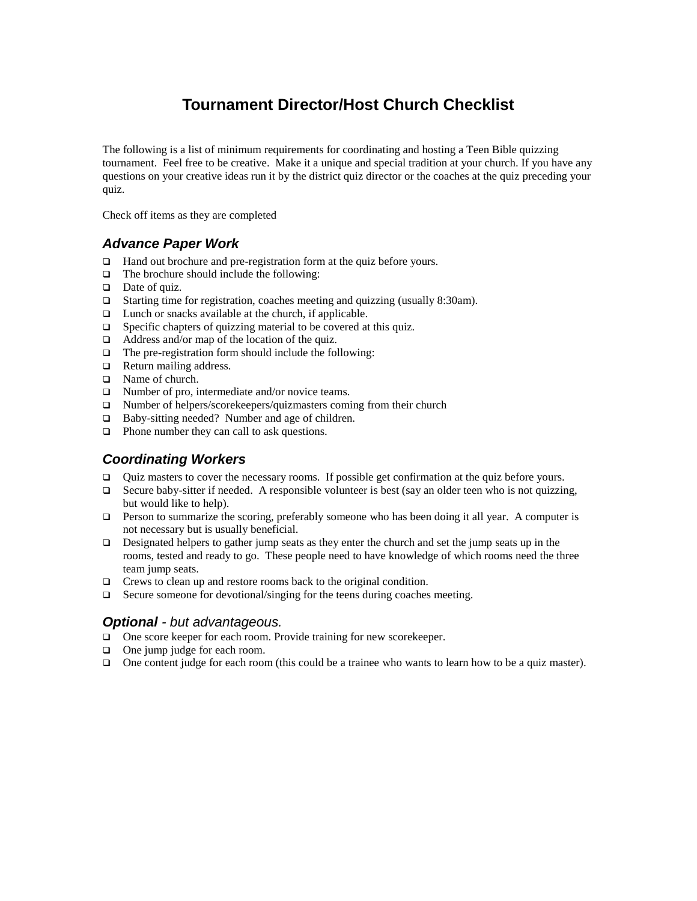# **Tournament Director/Host Church Checklist**

The following is a list of minimum requirements for coordinating and hosting a Teen Bible quizzing tournament. Feel free to be creative. Make it a unique and special tradition at your church. If you have any questions on your creative ideas run it by the district quiz director or the coaches at the quiz preceding your quiz.

Check off items as they are completed

## *Advance Paper Work*

- □ Hand out brochure and pre-registration form at the quiz before yours.
- $\Box$  The brochure should include the following:
- □ Date of quiz.
- □ Starting time for registration, coaches meeting and quizzing (usually 8:30am).
- $\Box$  Lunch or snacks available at the church, if applicable.
- $\Box$  Specific chapters of quizzing material to be covered at this quiz.
- $\Box$  Address and/or map of the location of the quiz.
- $\Box$  The pre-registration form should include the following:
- **Q** Return mailing address.
- □ Name of church.
- $\Box$  Number of pro, intermediate and/or novice teams.
- $\Box$  Number of helpers/scorekeepers/quizmasters coming from their church
- □ Baby-sitting needed? Number and age of children.
- □ Phone number they can call to ask questions.

# *Coordinating Workers*

- $\Box$  Ouiz masters to cover the necessary rooms. If possible get confirmation at the quiz before yours.
- Secure baby-sitter if needed. A responsible volunteer is best (say an older teen who is not quizzing, but would like to help).
- $\Box$  Person to summarize the scoring, preferably someone who has been doing it all year. A computer is not necessary but is usually beneficial.
- Designated helpers to gather jump seats as they enter the church and set the jump seats up in the rooms, tested and ready to go. These people need to have knowledge of which rooms need the three team jump seats.
- $\Box$  Crews to clean up and restore rooms back to the original condition.
- $\Box$  Secure someone for devotional/singing for the teens during coaches meeting.

#### *Optional - but advantageous.*

- □ One score keeper for each room. Provide training for new scorekeeper.
- □ One jump judge for each room.
- One content judge for each room (this could be a trainee who wants to learn how to be a quiz master).